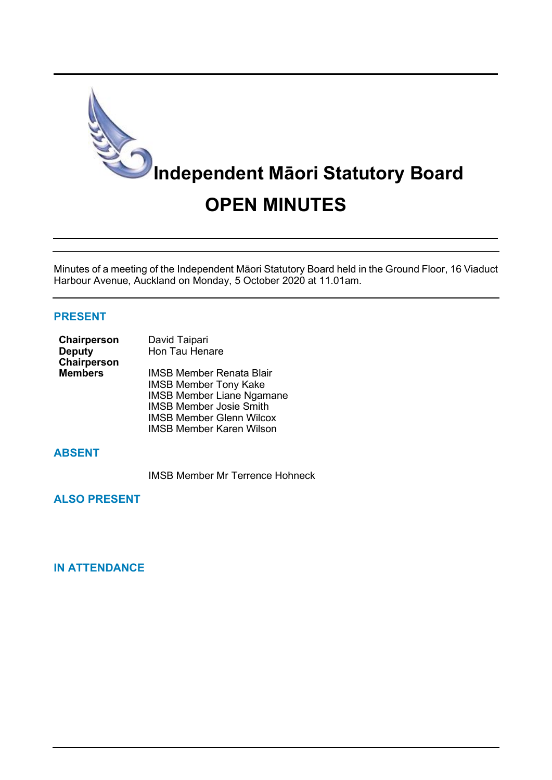

Minutes of a meeting of the Independent Māori Statutory Board held in the Ground Floor, 16 Viaduct Harbour Avenue, Auckland on Monday, 5 October 2020 at 11.01am.

#### **PRESENT**

| Chairperson    | David Taipari                     |  |  |
|----------------|-----------------------------------|--|--|
| <b>Deputy</b>  | Hon Tau Henare                    |  |  |
| Chairperson    |                                   |  |  |
| <b>Members</b> | <b>IMSB Member Renata Blair</b>   |  |  |
|                | <b>IMSB Member Tony Kake</b>      |  |  |
|                | <b>IMSB Member Liane Ngamane</b>  |  |  |
|                | <b>IMSB Member Josie Smith</b>    |  |  |
|                | $IMCD$ Mombor Clopp <i>Wilcox</i> |  |  |

IMSB Member Glenn Wilcox IMSB Member Karen Wilson

# **ABSENT**

IMSB Member Mr Terrence Hohneck

**ALSO PRESENT**

# **IN ATTENDANCE**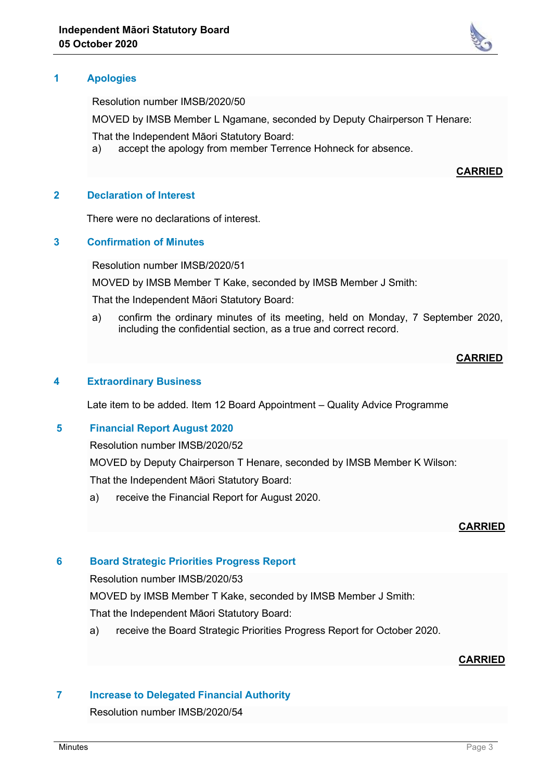

Resolution number IMSB/2020/50

MOVED by IMSB Member L Ngamane, seconded by Deputy Chairperson T Henare:

That the Independent Māori Statutory Board:

a) accept the apology from member Terrence Hohneck for absence.

#### **CARRIED**

#### **2 Declaration of Interest**

There were no declarations of interest.

### **3 Confirmation of Minutes**

Resolution number IMSB/2020/51

MOVED by IMSB Member T Kake, seconded by IMSB Member J Smith:

That the Independent Māori Statutory Board:

a) confirm the ordinary minutes of its meeting, held on Monday, 7 September 2020, including the confidential section, as a true and correct record.

#### **CARRIED**

## **4 Extraordinary Business**

Late item to be added. Item 12 Board Appointment – Quality Advice Programme

#### **5 Financial Report August 2020**

Resolution number IMSB/2020/52

MOVED by Deputy Chairperson T Henare, seconded by IMSB Member K Wilson:

That the Independent Māori Statutory Board:

a) receive the Financial Report for August 2020.

#### **CARRIED**

#### **6 Board Strategic Priorities Progress Report**

Resolution number IMSB/2020/53

MOVED by IMSB Member T Kake, seconded by IMSB Member J Smith:

That the Independent Māori Statutory Board:

a) receive the Board Strategic Priorities Progress Report for October 2020.

## **CARRIED**

#### **7 Increase to Delegated Financial Authority**

Resolution number IMSB/2020/54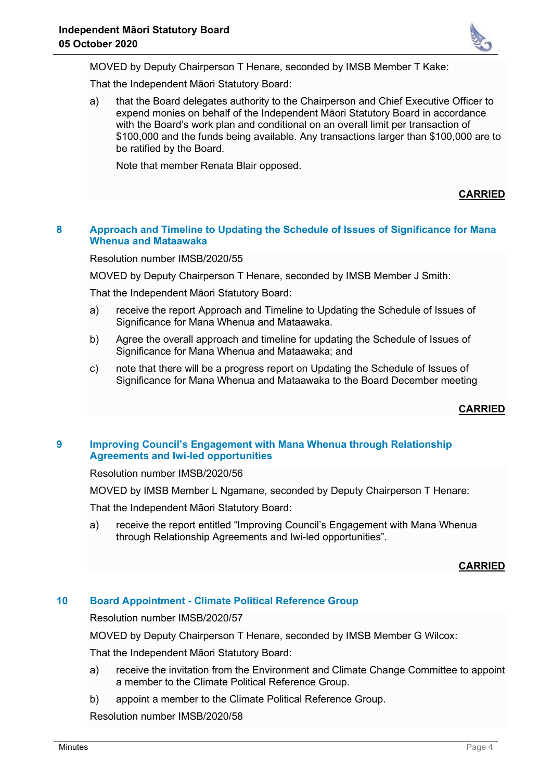

MOVED by Deputy Chairperson T Henare, seconded by IMSB Member T Kake:

That the Independent Māori Statutory Board:

a) that the Board delegates authority to the Chairperson and Chief Executive Officer to expend monies on behalf of the Independent Māori Statutory Board in accordance with the Board's work plan and conditional on an overall limit per transaction of \$100,000 and the funds being available. Any transactions larger than \$100,000 are to be ratified by the Board.

Note that member Renata Blair opposed.

**CARRIED**

# **8 Approach and Timeline to Updating the Schedule of Issues of Significance for Mana Whenua and Mataawaka**

Resolution number IMSB/2020/55

MOVED by Deputy Chairperson T Henare, seconded by IMSB Member J Smith:

That the Independent Māori Statutory Board:

- a) receive the report Approach and Timeline to Updating the Schedule of Issues of Significance for Mana Whenua and Mataawaka.
- b) Agree the overall approach and timeline for updating the Schedule of Issues of Significance for Mana Whenua and Mataawaka; and
- c) note that there will be a progress report on Updating the Schedule of Issues of Significance for Mana Whenua and Mataawaka to the Board December meeting

**CARRIED**

## **9 Improving Council's Engagement with Mana Whenua through Relationship Agreements and Iwi-led opportunities**

Resolution number IMSB/2020/56

MOVED by IMSB Member L Ngamane, seconded by Deputy Chairperson T Henare:

That the Independent Māori Statutory Board:

a) receive the report entitled "Improving Council's Engagement with Mana Whenua through Relationship Agreements and Iwi-led opportunities".

# **CARRIED**

## **10 Board Appointment - Climate Political Reference Group**

Resolution number IMSB/2020/57

MOVED by Deputy Chairperson T Henare, seconded by IMSB Member G Wilcox:

That the Independent Māori Statutory Board:

- a) receive the invitation from the Environment and Climate Change Committee to appoint a member to the Climate Political Reference Group.
- b) appoint a member to the Climate Political Reference Group.

Resolution number IMSB/2020/58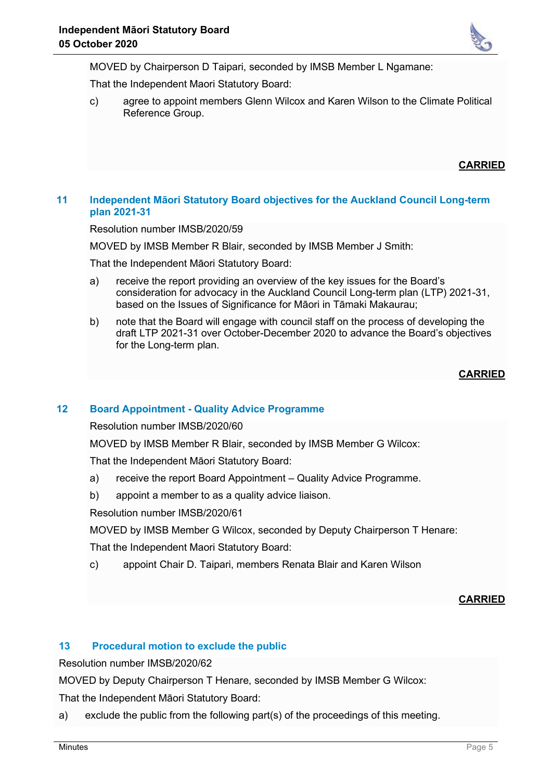

MOVED by Chairperson D Taipari, seconded by IMSB Member L Ngamane:

That the Independent Maori Statutory Board:

c) agree to appoint members Glenn Wilcox and Karen Wilson to the Climate Political Reference Group.

**CARRIED**

### **11 Independent Māori Statutory Board objectives for the Auckland Council Long-term plan 2021-31**

Resolution number IMSB/2020/59

MOVED by IMSB Member R Blair, seconded by IMSB Member J Smith:

That the Independent Māori Statutory Board:

- a) receive the report providing an overview of the key issues for the Board's consideration for advocacy in the Auckland Council Long-term plan (LTP) 2021-31, based on the Issues of Significance for Māori in Tāmaki Makaurau;
- b) note that the Board will engage with council staff on the process of developing the draft LTP 2021-31 over October-December 2020 to advance the Board's objectives for the Long-term plan.

## **CARRIED**

## **12 Board Appointment - Quality Advice Programme**

Resolution number IMSB/2020/60

MOVED by IMSB Member R Blair, seconded by IMSB Member G Wilcox:

That the Independent Māori Statutory Board:

- a) receive the report Board Appointment Quality Advice Programme.
- b) appoint a member to as a quality advice liaison.

Resolution number IMSB/2020/61

MOVED by IMSB Member G Wilcox, seconded by Deputy Chairperson T Henare:

That the Independent Maori Statutory Board:

c) appoint Chair D. Taipari, members Renata Blair and Karen Wilson

#### **CARRIED**

## **13 Procedural motion to exclude the public**

Resolution number IMSB/2020/62

MOVED by Deputy Chairperson T Henare, seconded by IMSB Member G Wilcox:

That the Independent Māori Statutory Board:

a) exclude the public from the following part(s) of the proceedings of this meeting.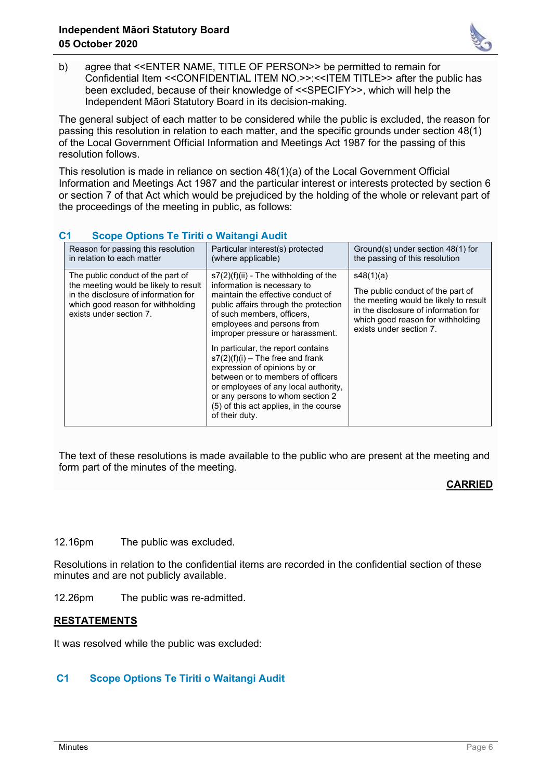

b) agree that <<ENTER NAME, TITLE OF PERSON>> be permitted to remain for Confidential Item <<CONFIDENTIAL ITEM NO.>>:<<ITEM TITLE>> after the public has been excluded, because of their knowledge of <<SPECIFY>>, which will help the Independent Māori Statutory Board in its decision-making.

The general subject of each matter to be considered while the public is excluded, the reason for passing this resolution in relation to each matter, and the specific grounds under section 48(1) of the Local Government Official Information and Meetings Act 1987 for the passing of this resolution follows.

This resolution is made in reliance on section 48(1)(a) of the Local Government Official Information and Meetings Act 1987 and the particular interest or interests protected by section 6 or section 7 of that Act which would be prejudiced by the holding of the whole or relevant part of the proceedings of the meeting in public, as follows:

| <u>UCUDU UDUCHISHU IIII U MARARAHI AUGH</u>                                                                                                                                        |                                                                                                                                                                                                                                                                                                                                                                                                                                                                                                                                               |                                                                                                                                                                                                 |
|------------------------------------------------------------------------------------------------------------------------------------------------------------------------------------|-----------------------------------------------------------------------------------------------------------------------------------------------------------------------------------------------------------------------------------------------------------------------------------------------------------------------------------------------------------------------------------------------------------------------------------------------------------------------------------------------------------------------------------------------|-------------------------------------------------------------------------------------------------------------------------------------------------------------------------------------------------|
| Reason for passing this resolution<br>in relation to each matter                                                                                                                   | Particular interest(s) protected<br>(where applicable)                                                                                                                                                                                                                                                                                                                                                                                                                                                                                        | Ground(s) under section 48(1) for<br>the passing of this resolution                                                                                                                             |
| The public conduct of the part of<br>the meeting would be likely to result<br>in the disclosure of information for<br>which good reason for withholding<br>exists under section 7. | $s7(2)(f)(ii)$ - The withholding of the<br>information is necessary to<br>maintain the effective conduct of<br>public affairs through the protection<br>of such members, officers,<br>employees and persons from<br>improper pressure or harassment.<br>In particular, the report contains<br>$s7(2)(f)(i)$ – The free and frank<br>expression of opinions by or<br>between or to members of officers<br>or employees of any local authority,<br>or any persons to whom section 2<br>(5) of this act applies, in the course<br>of their duty. | s48(1)(a)<br>The public conduct of the part of<br>the meeting would be likely to result<br>in the disclosure of information for<br>which good reason for withholding<br>exists under section 7. |

# **C1 Scope Options Te Tiriti o Waitangi Audit**

The text of these resolutions is made available to the public who are present at the meeting and form part of the minutes of the meeting.

# **CARRIED**

12.16pm The public was excluded.

Resolutions in relation to the confidential items are recorded in the confidential section of these minutes and are not publicly available.

12.26pm The public was re-admitted.

## **RESTATEMENTS**

It was resolved while the public was excluded:

# **C1 Scope Options Te Tiriti o Waitangi Audit**